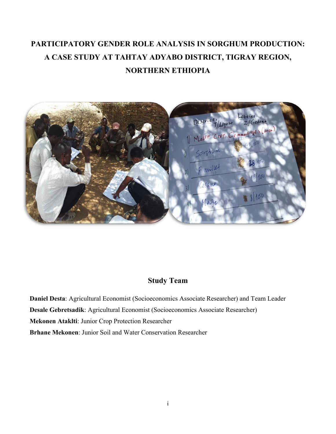# **PARTICIPATORY GENDER ROLE ANALYSIS IN SORGHUM PRODUCTION: A CASE STUDY AT TAHTAY ADYABO DISTRICT, TIGRAY REGION, NORTHERN ETHIOPIA**



## **Study Team**

**Daniel Desta**: Agricultural Economist (Socioeconomics Associate Researcher) and Team Leader **Desale Gebretsadik**: Agricultural Economist (Socioeconomics Associate Researcher) **Mekonen Ataklti**: Junior Crop Protection Researcher **Brhane Mekonen**: Junior Soil and Water Conservation Researcher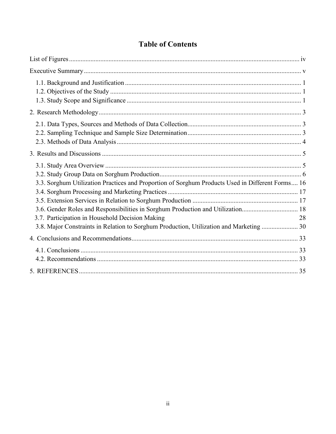| 3.3. Sorghum Utilization Practices and Proportion of Sorghum Products Used in Different Forms 16<br>3.6. Gender Roles and Responsibilities in Sorghum Production and Utilization 18<br>3.7. Participation in Household Decision Making<br>3.8. Major Constraints in Relation to Sorghum Production, Utilization and Marketing  30 | 28 |
|-----------------------------------------------------------------------------------------------------------------------------------------------------------------------------------------------------------------------------------------------------------------------------------------------------------------------------------|----|
|                                                                                                                                                                                                                                                                                                                                   |    |
|                                                                                                                                                                                                                                                                                                                                   |    |
|                                                                                                                                                                                                                                                                                                                                   |    |

## **Table of Contents**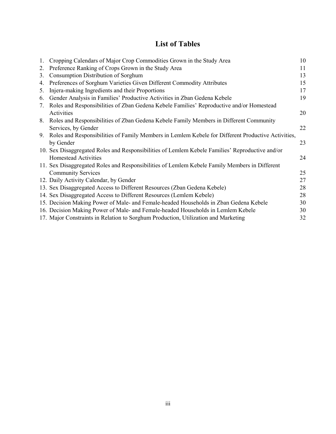## **List of Tables**

| 1. | Cropping Calendars of Major Crop Commodities Grown in the Study Area                               | 10 |
|----|----------------------------------------------------------------------------------------------------|----|
| 2. | Preference Ranking of Crops Grown in the Study Area                                                | 11 |
| 3. | Consumption Distribution of Sorghum                                                                | 13 |
| 4. | Preferences of Sorghum Varieties Given Different Commodity Attributes                              | 15 |
| 5. | Injera-making Ingredients and their Proportions                                                    | 17 |
| 6. | Gender Analysis in Families' Productive Activities in Zban Gedena Kebele                           | 19 |
| 7. | Roles and Responsibilities of Zban Gedena Kebele Families' Reproductive and/or Homestead           |    |
|    | Activities                                                                                         | 20 |
| 8. | Roles and Responsibilities of Zban Gedena Kebele Family Members in Different Community             |    |
|    | Services, by Gender                                                                                | 22 |
| 9. | Roles and Responsibilities of Family Members in Lemlem Kebele for Different Productive Activities, |    |
|    | by Gender                                                                                          | 23 |
|    | 10. Sex Disaggregated Roles and Responsibilities of Lemlem Kebele Families' Reproductive and/or    |    |
|    | <b>Homestead Activities</b>                                                                        | 24 |
|    | 11. Sex Disaggregated Roles and Responsibilities of Lemlem Kebele Family Members in Different      |    |
|    | <b>Community Services</b>                                                                          | 25 |
|    | 12. Daily Activity Calendar, by Gender                                                             | 27 |
|    | 13. Sex Disaggregated Access to Different Resources (Zban Gedena Kebele)                           | 28 |
|    | 14. Sex Disaggregated Access to Different Resources (Lemlem Kebele)                                | 28 |
|    | 15. Decision Making Power of Male- and Female-headed Households in Zban Gedena Kebele              | 30 |
|    | 16. Decision Making Power of Male- and Female-headed Households in Lemlem Kebele                   | 30 |
|    | 17. Major Constraints in Relation to Sorghum Production, Utilization and Marketing                 | 32 |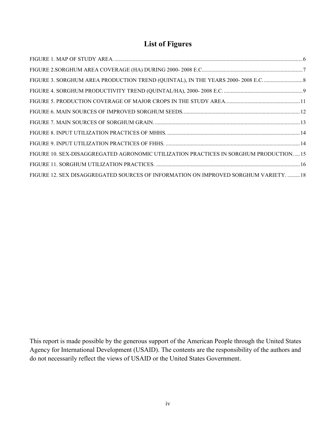## **List of Figures**

<span id="page-3-0"></span>

| FIGURE 3. SORGHUM AREA PRODUCTION TREND (QUINTAL), IN THE YEARS 2000-2008 E.C.        |  |
|---------------------------------------------------------------------------------------|--|
|                                                                                       |  |
|                                                                                       |  |
|                                                                                       |  |
|                                                                                       |  |
|                                                                                       |  |
|                                                                                       |  |
| FIGURE 10. SEX-DISAGGREGATED AGRONOMIC UTILIZATION PRACTICES IN SORGHUM PRODUCTION 15 |  |
|                                                                                       |  |
| FIGURE 12. SEX DISAGGREGATED SOURCES OF INFORMATION ON IMPROVED SORGHUM VARIETY.  18  |  |

This report is made possible by the generous support of the American People through the United States Agency for International Development (USAID). The contents are the responsibility of the authors and do not necessarily reflect the views of USAID or the United States Government.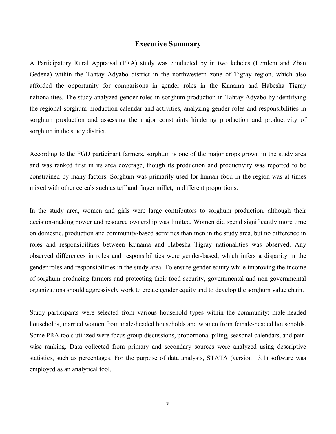#### **Executive Summary**

<span id="page-4-0"></span>A Participatory Rural Appraisal (PRA) study was conducted by in two kebeles (Lemlem and Zban Gedena) within the Tahtay Adyabo district in the northwestern zone of Tigray region, which also afforded the opportunity for comparisons in gender roles in the Kunama and Habesha Tigray nationalities. The study analyzed gender roles in sorghum production in Tahtay Adyabo by identifying the regional sorghum production calendar and activities, analyzing gender roles and responsibilities in sorghum production and assessing the major constraints hindering production and productivity of sorghum in the study district.

According to the FGD participant farmers, sorghum is one of the major crops grown in the study area and was ranked first in its area coverage, though its production and productivity was reported to be constrained by many factors. Sorghum was primarily used for human food in the region was at times mixed with other cereals such as teff and finger millet, in different proportions.

In the study area, women and girls were large contributors to sorghum production, although their decision-making power and resource ownership was limited. Women did spend significantly more time on domestic, production and community-based activities than men in the study area, but no difference in roles and responsibilities between Kunama and Habesha Tigray nationalities was observed. Any observed differences in roles and responsibilities were gender-based, which infers a disparity in the gender roles and responsibilities in the study area. To ensure gender equity while improving the income of sorghum-producing farmers and protecting their food security, governmental and non-governmental organizations should aggressively work to create gender equity and to develop the sorghum value chain.

Study participants were selected from various household types within the community: male-headed households, married women from male-headed households and women from female-headed households. Some PRA tools utilized were focus group discussions, proportional piling, seasonal calendars, and pairwise ranking. Data collected from primary and secondary sources were analyzed using descriptive statistics, such as percentages. For the purpose of data analysis, STATA (version 13.1) software was employed as an analytical tool.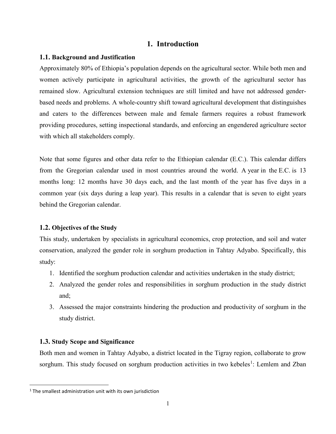## **1. Introduction**

#### <span id="page-5-0"></span>**1.1. Background and Justification**

Approximately 80% of Ethiopia's population depends on the agricultural sector. While both men and women actively participate in agricultural activities, the growth of the agricultural sector has remained slow. Agricultural extension techniques are still limited and have not addressed genderbased needs and problems. A whole-country shift toward agricultural development that distinguishes and caters to the differences between male and female farmers requires a robust framework providing procedures, setting inspectional standards, and enforcing an engendered agriculture sector with which all stakeholders comply.

Note that some figures and other data refer to the Ethiopian calendar (E.C.). This calendar differs from the Gregorian calendar used in most countries around the world. A year in the E.C. is 13 months long: 12 months have 30 days each, and the last month of the year has five days in a common year (six days during a leap year). This results in a calendar that is seven to eight years behind the Gregorian calendar.

#### <span id="page-5-1"></span>**1.2. Objectives of the Study**

This study, undertaken by specialists in agricultural economics, crop protection, and soil and water conservation, analyzed the gender role in sorghum production in Tahtay Adyabo. Specifically, this study:

- 1. Identified the sorghum production calendar and activities undertaken in the study district;
- 2. Analyzed the gender roles and responsibilities in sorghum production in the study district and;
- 3. Assessed the major constraints hindering the production and productivity of sorghum in the study district.

#### <span id="page-5-2"></span>**1.3. Study Scope and Significance**

Both men and women in Tahtay Adyabo, a district located in the Tigray region, collaborate to grow sorghum. This study focused on sorghum production activities in two kebeles<sup>[1](#page-5-3)</sup>: Lemlem and Zban

<span id="page-5-3"></span> $1$ <sup>1</sup> The smallest administration unit with its own jurisdiction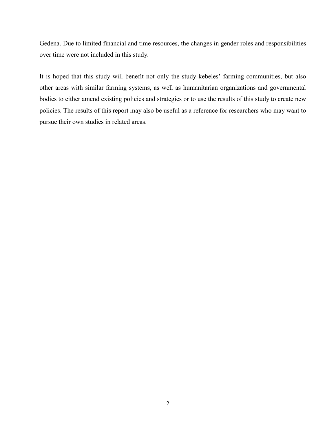Gedena. Due to limited financial and time resources, the changes in gender roles and responsibilities over time were not included in this study.

It is hoped that this study will benefit not only the study kebeles' farming communities, but also other areas with similar farming systems, as well as humanitarian organizations and governmental bodies to either amend existing policies and strategies or to use the results of this study to create new policies. The results of this report may also be useful as a reference for researchers who may want to pursue their own studies in related areas.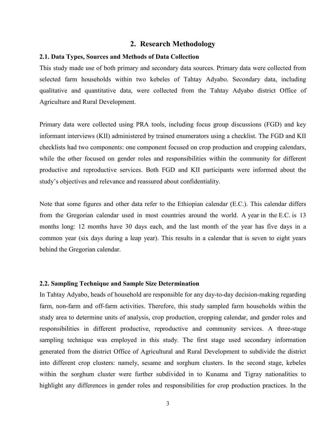#### **2. Research Methodology**

#### <span id="page-7-1"></span><span id="page-7-0"></span>**2.1. Data Types, Sources and Methods of Data Collection**

This study made use of both primary and secondary data sources. Primary data were collected from selected farm households within two kebeles of Tahtay Adyabo. Secondary data, including qualitative and quantitative data, were collected from the Tahtay Adyabo district Office of Agriculture and Rural Development.

Primary data were collected using PRA tools, including focus group discussions (FGD) and key informant interviews (KII) administered by trained enumerators using a checklist. The FGD and KII checklists had two components: one component focused on crop production and cropping calendars, while the other focused on gender roles and responsibilities within the community for different productive and reproductive services. Both FGD and KII participants were informed about the study's objectives and relevance and reassured about confidentiality.

Note that some figures and other data refer to the Ethiopian calendar (E.C.). This calendar differs from the Gregorian calendar used in most countries around the world. A year in the E.C. is 13 months long: 12 months have 30 days each, and the last month of the year has five days in a common year (six days during a leap year). This results in a calendar that is seven to eight years behind the Gregorian calendar.

#### <span id="page-7-2"></span>**2.2. Sampling Technique and Sample Size Determination**

In Tahtay Adyabo, heads of household are responsible for any day-to-day decision-making regarding farm, non-farm and off-farm activities. Therefore, this study sampled farm households within the study area to determine units of analysis, crop production, cropping calendar, and gender roles and responsibilities in different productive, reproductive and community services. A three-stage sampling technique was employed in this study. The first stage used secondary information generated from the district Office of Agricultural and Rural Development to subdivide the district into different crop clusters: namely, sesame and sorghum clusters. In the second stage, kebeles within the sorghum cluster were further subdivided in to Kunama and Tigray nationalities to highlight any differences in gender roles and responsibilities for crop production practices. In the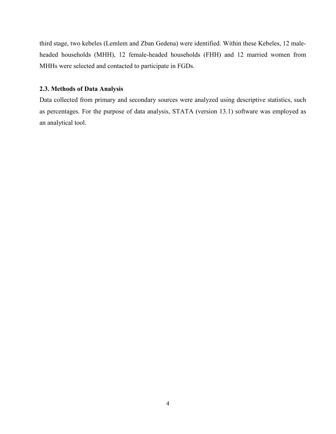third stage, two kebeles (Lemlem and Zban Gedena) were identified. Within these Kebeles, 12 maleheaded households (MHH), 12 female-headed households (FHH) and 12 married women from MHHs were selected and contacted to participate in FGDs.

#### <span id="page-8-0"></span>**2.3. Methods of Data Analysis**

Data collected from primary and secondary sources were analyzed using descriptive statistics, such as percentages. For the purpose of data analysis, STATA (version 13.1) software was employed as an analytical tool.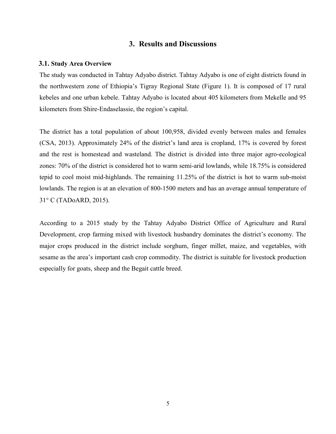## **3. Results and Discussions**

#### <span id="page-9-1"></span><span id="page-9-0"></span>**3.1. Study Area Overview**

The study was conducted in Tahtay Adyabo district. Tahtay Adyabo is one of eight districts found in the northwestern zone of Ethiopia's Tigray Regional State (Figure 1). It is composed of 17 rural kebeles and one urban kebele. Tahtay Adyabo is located about 405 kilometers from Mekelle and 95 kilometers from Shire-Endaselassie, the region's capital.

The district has a total population of about 100,958, divided evenly between males and females (CSA, 2013). Approximately 24% of the district's land area is cropland, 17% is covered by forest and the rest is homestead and wasteland. The district is divided into three major agro-ecological zones: 70% of the district is considered hot to warm semi-arid lowlands, while 18.75% is considered tepid to cool moist mid-highlands. The remaining 11.25% of the district is hot to warm sub-moist lowlands. The region is at an elevation of 800-1500 meters and has an average annual temperature of 31° C (TADoARD, 2015).

According to a 2015 study by the Tahtay Adyabo District Office of Agriculture and Rural Development, crop farming mixed with livestock husbandry dominates the district's economy. The major crops produced in the district include sorghum, finger millet, maize, and vegetables, with sesame as the area's important cash crop commodity. The district is suitable for livestock production especially for goats, sheep and the Begait cattle breed.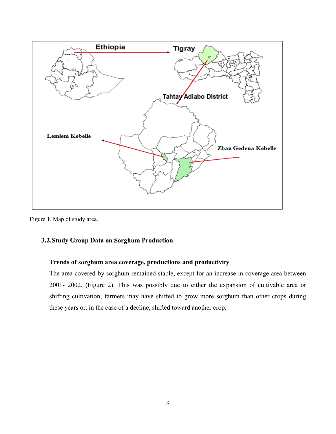

<span id="page-10-1"></span>Figure 1. Map of study area.

## <span id="page-10-0"></span>**3.2.Study Group Data on Sorghum Production**

### **Trends of sorghum area coverage, productions and productivity**.

The area covered by sorghum remained stable, except for an increase in coverage area between 2001- 2002. (Figure 2). This was possibly due to either the expansion of cultivable area or shifting cultivation; farmers may have shifted to grow more sorghum than other crops during these years or, in the case of a decline, shifted toward another crop.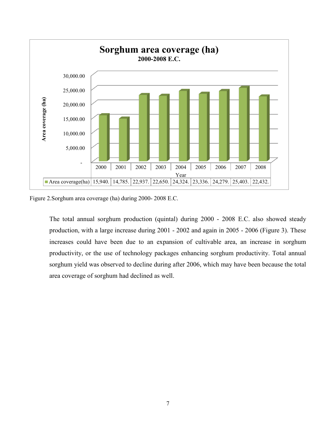

<span id="page-11-0"></span>Figure 2.Sorghum area coverage (ha) during 2000- 2008 E.C.

The total annual sorghum production (quintal) during 2000 - 2008 E.C. also showed steady production, with a large increase during 2001 - 2002 and again in 2005 - 2006 (Figure 3). These increases could have been due to an expansion of cultivable area, an increase in sorghum productivity, or the use of technology packages enhancing sorghum productivity. Total annual sorghum yield was observed to decline during after 2006, which may have been because the total area coverage of sorghum had declined as well.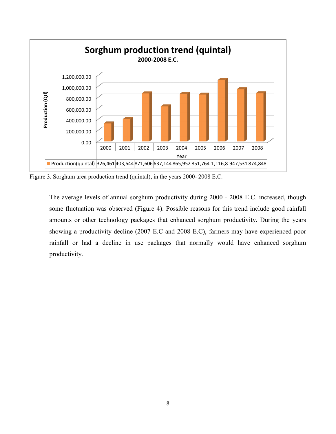

<span id="page-12-0"></span>Figure 3. Sorghum area production trend (quintal), in the years 2000- 2008 E.C.

The average levels of annual sorghum productivity during 2000 - 2008 E.C. increased, though some fluctuation was observed (Figure 4). Possible reasons for this trend include good rainfall amounts or other technology packages that enhanced sorghum productivity. During the years showing a productivity decline (2007 E.C and 2008 E.C), farmers may have experienced poor rainfall or had a decline in use packages that normally would have enhanced sorghum productivity.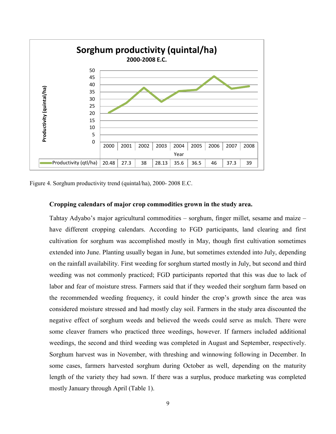

<span id="page-13-0"></span>Figure 4. Sorghum productivity trend (quintal/ha), 2000- 2008 E.C.

#### **Cropping calendars of major crop commodities grown in the study area.**

Tahtay Adyabo's major agricultural commodities – sorghum, finger millet, sesame and maize – have different cropping calendars. According to FGD participants, land clearing and first cultivation for sorghum was accomplished mostly in May, though first cultivation sometimes extended into June. Planting usually began in June, but sometimes extended into July, depending on the rainfall availability. First weeding for sorghum started mostly in July, but second and third weeding was not commonly practiced; FGD participants reported that this was due to lack of labor and fear of moisture stress. Farmers said that if they weeded their sorghum farm based on the recommended weeding frequency, it could hinder the crop's growth since the area was considered moisture stressed and had mostly clay soil. Farmers in the study area discounted the negative effect of sorghum weeds and believed the weeds could serve as mulch. There were some cleaver framers who practiced three weedings, however. If farmers included additional weedings, the second and third weeding was completed in August and September, respectively. Sorghum harvest was in November, with threshing and winnowing following in December. In some cases, farmers harvested sorghum during October as well, depending on the maturity length of the variety they had sown. If there was a surplus, produce marketing was completed mostly January through April (Table 1).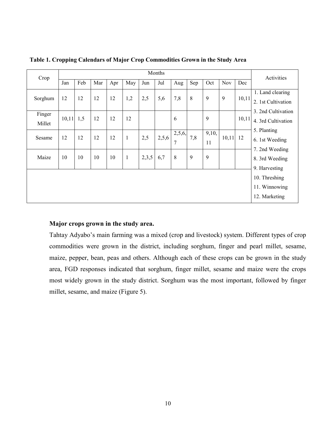| Crop    |             |     |     |     |              |       | Months |        |     |       |            |       | Activities                               |  |  |
|---------|-------------|-----|-----|-----|--------------|-------|--------|--------|-----|-------|------------|-------|------------------------------------------|--|--|
|         | Jan         | Feb | Mar | Apr | May          | Jun   | Jul    | Aug    | Sep | Oct   | <b>Nov</b> | Dec   |                                          |  |  |
| Sorghum | 12          | 12  | 12  | 12  | 1,2          | 2,5   | 5,6    | 7,8    | 8   | 9     | 9          | 10,11 | 1. Land clearing                         |  |  |
|         |             |     |     |     |              |       |        |        |     |       |            |       | 2. 1st Cultivation                       |  |  |
| Finger  | $10,11$ 1,5 |     | 12  | 12  | 12           |       |        | 6      |     | 9     |            | 10,11 | 3. 2nd Cultivation<br>4. 3rd Cultivation |  |  |
| Millet  |             |     |     |     |              |       |        |        |     |       |            |       |                                          |  |  |
|         |             | 12  | 12  |     |              |       |        | 2,5,6, |     | 9,10, |            |       | 5. Planting                              |  |  |
| Sesame  | 12          |     |     | 12  | $\mathbf{1}$ | 2,5   | 2,5,6  | 7      | 7,8 | 11    | $10,11$ 12 |       | 6. 1st Weeding                           |  |  |
|         |             |     |     |     |              |       |        |        |     |       |            |       | 7. 2nd Weeding                           |  |  |
| Maize   | 10          | 10  | 10  | 10  | $\mathbf{1}$ | 2,3,5 | 6,7    | 8      | 9   | 9     |            |       | 8. 3rd Weeding                           |  |  |
|         |             |     |     |     |              |       |        |        |     |       |            |       | 9. Harvesting                            |  |  |
|         |             |     |     |     |              |       |        |        |     |       |            |       | 10. Threshing                            |  |  |
|         |             |     |     |     |              |       |        |        |     |       |            |       | 11. Winnowing                            |  |  |
|         |             |     |     |     |              |       |        |        |     |       |            |       | 12. Marketing                            |  |  |

<span id="page-14-0"></span>**Table 1. Cropping Calendars of Major Crop Commodities Grown in the Study Area**

#### **Major crops grown in the study area.**

Tahtay Adyabo's main farming was a mixed (crop and livestock) system. Different types of crop commodities were grown in the district, including sorghum, finger and pearl millet, sesame, maize, pepper, bean, peas and others. Although each of these crops can be grown in the study area, FGD responses indicated that sorghum, finger millet, sesame and maize were the crops most widely grown in the study district. Sorghum was the most important, followed by finger millet, sesame, and maize (Figure 5).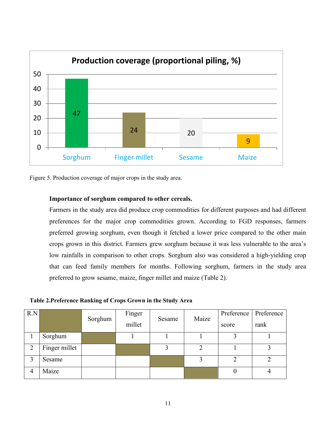

<span id="page-15-1"></span>Figure 5. Production coverage of major crops in the study area.

### **Importance of sorghum compared to other cereals.**

Farmers in the study area did produce crop commodities for different purposes and had different preferences for the major crop commodities grown. According to FGD responses, farmers preferred growing sorghum, even though it fetched a lower price compared to the other main crops grown in this district. Farmers grew sorghum because it was less vulnerable to the area's low rainfalls in comparison to other crops. Sorghum also was considered a high-yielding crop that can feed family members for months. Following sorghum, farmers in the study area preferred to grow sesame, maize, finger millet and maize (Table 2).

<span id="page-15-0"></span>**Table 2.Preference Ranking of Crops Grown in the Study Area**

| R.N                         |               |         | Finger | Sesame | Maize | Preference | Preference |
|-----------------------------|---------------|---------|--------|--------|-------|------------|------------|
|                             |               | Sorghum | millet |        |       | score      | rank       |
|                             | Sorghum       |         |        |        |       |            |            |
| $\mathcal{D}_{\mathcal{L}}$ | Finger millet |         |        |        | ⌒     |            |            |
| 3                           | Sesame        |         |        |        |       |            |            |
| 4                           | Maize         |         |        |        |       |            |            |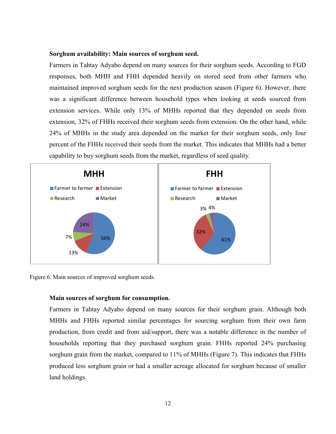#### **Sorghum availability: Main sources of sorghum seed.**

Farmers in Tahtay Adyabo depend on many sources for their sorghum seeds. According to FGD responses, both MHH and FHH depended heavily on stored seed from other farmers who maintained improved sorghum seeds for the next production season (Figure 6). However, there was a significant difference between household types when looking at seeds sourced from extension services. While only 13% of MHHs reported that they depended on seeds from extension, 32% of FHHs received their sorghum seeds from extension. On the other hand, while 24% of MHHs in the study area depended on the market for their sorghum seeds, only four percent of the FHHs received their seeds from the market. This indicates that MHHs had a better capability to buy sorghum seeds from the market, regardless of seed quality.



<span id="page-16-0"></span>Figure 6. Main sources of improved sorghum seeds.

#### **Main sources of sorghum for consumption.**

Farmers in Tahtay Adyabo depend on many sources for their sorghum grain. Although both MHHs and FHHs reported similar percentages for sourcing sorghum from their own farm production, from credit and from aid/support, there was a notable difference in the number of households reporting that they purchased sorghum grain. FHHs reported 24% purchasing sorghum grain from the market, compared to 11% of MHHs (Figure 7). This indicates that FHHs produced less sorghum grain or had a smaller acreage allocated for sorghum because of smaller land holdings.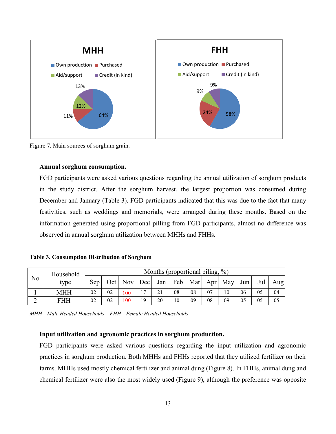

<span id="page-17-1"></span>Figure 7. Main sources of sorghum grain.

#### **Annual sorghum consumption.**

FGD participants were asked various questions regarding the annual utilization of sorghum products in the study district. After the sorghum harvest, the largest proportion was consumed during December and January (Table 3). FGD participants indicated that this was due to the fact that many festivities, such as weddings and memorials, were arranged during these months. Based on the information generated using proportional pilling from FGD participants, almost no difference was observed in annual sorghum utilization between MHHs and FHHs.

<span id="page-17-0"></span>**Table 3. Consumption Distribution of Sorghum**

| No | Household  | Months (proportional piling, %) |    |                 |    |     |    |    |    |                       |     |     |     |
|----|------------|---------------------------------|----|-----------------|----|-----|----|----|----|-----------------------|-----|-----|-----|
|    | type       | Sep                             |    | Oct   Nov   Dec |    | Jan |    |    |    | Feb   Mar   Apr   May | Jun | Jul | Aug |
|    | <b>MHH</b> | 02                              | 02 | 100             | 17 | 21  | 08 | 08 | 07 | 10                    | 06  | 05  | 04  |
|    | FHH        | 02                              | 02 | 100             | 19 | 20  | 10 | 09 | 08 | 09                    | 05  | 05  | 05  |

*MHH= Male Headed Households FHH= Female Headed Households*

### **Input utilization and agronomic practices in sorghum production.**

FGD participants were asked various questions regarding the input utilization and agronomic practices in sorghum production. Both MHHs and FHHs reported that they utilized fertilizer on their farms. MHHs used mostly chemical fertilizer and animal dung (Figure 8). In FHHs, animal dung and chemical fertilizer were also the most widely used (Figure 9), although the preference was opposite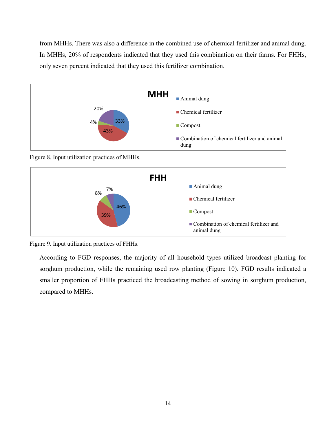from MHHs. There was also a difference in the combined use of chemical fertilizer and animal dung. In MHHs, 20% of respondents indicated that they used this combination on their farms. For FHHs, only seven percent indicated that they used this fertilizer combination.



<span id="page-18-0"></span>Figure 8. Input utilization practices of MHHs.



<span id="page-18-1"></span>

According to FGD responses, the majority of all household types utilized broadcast planting for sorghum production, while the remaining used row planting (Figure 10). FGD results indicated a smaller proportion of FHHs practiced the broadcasting method of sowing in sorghum production, compared to MHHs.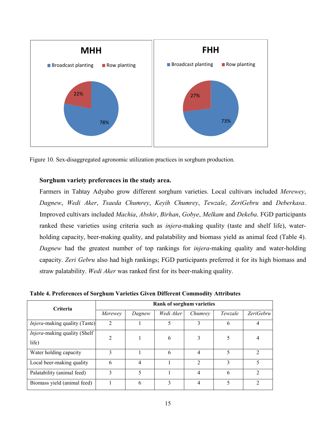

<span id="page-19-1"></span>Figure 10. Sex-disaggregated agronomic utilization practices in sorghum production.

#### **Sorghum variety preferences in the study area.**

Farmers in Tahtay Adyabo grow different sorghum varieties. Local cultivars included *Merewey*, *Dagnew*, *Wedi Aker*, *Tsaeda Chumrey*, *Keyih Chumrey*, *Tewzale*, *ZeriGebru* and *Deberkasa*. Improved cultivars included *Machia*, *Abshir*, *Birhan*, *Gobye*, *Melkam* and *Dekeba*. FGD participants ranked these varieties using criteria such as *injera*-making quality (taste and shelf life), waterholding capacity, beer-making quality, and palatability and biomass yield as animal feed (Table 4). *Dagnew* had the greatest number of top rankings for *injera*-making quality and water-holding capacity. *Zeri Gebru* also had high rankings; FGD participants preferred it for its high biomass and straw palatability. *Wedi Aker* was ranked first for its beer-making quality.

<span id="page-19-0"></span>

| Table 4. Preferences of Sorghum Varieties Given Different Commodity Attributes |  |  |  |
|--------------------------------------------------------------------------------|--|--|--|
|                                                                                |  |  |  |

| Criteria                              | Rank of sorghum varieties     |        |           |                |         |                  |  |  |  |  |  |
|---------------------------------------|-------------------------------|--------|-----------|----------------|---------|------------------|--|--|--|--|--|
|                                       | Merewey                       | Dagnew | Wedi Aker | Chumrey        | Tewzale | <i>ZeriGebru</i> |  |  |  |  |  |
| <i>Injera</i> -making quality (Taste) | $\overline{2}$                |        | 5         | 3              | 6       |                  |  |  |  |  |  |
| Injera-making quality (Shelf<br>life) | $\mathfrak{D}_{\mathfrak{p}}$ |        | 6         | 3              |         |                  |  |  |  |  |  |
| Water holding capacity                | 3                             |        | 6         | 4              |         | C                |  |  |  |  |  |
| Local beer-making quality             | 6                             | 4      |           | $\mathfrak{D}$ | 3       | 5                |  |  |  |  |  |
| Palatability (animal feed)            | 3                             | 5      |           | 4              | 6       | C                |  |  |  |  |  |
| Biomass yield (animal feed)           |                               | 6      | 3         | 4              |         |                  |  |  |  |  |  |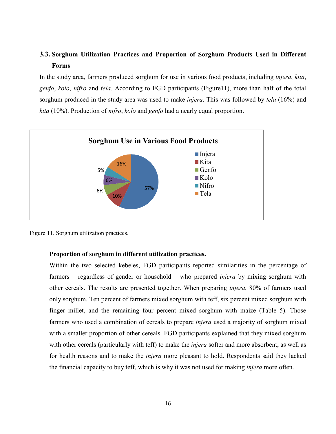## <span id="page-20-0"></span>**3.3. Sorghum Utilization Practices and Proportion of Sorghum Products Used in Different Forms**

In the study area, farmers produced sorghum for use in various food products, including *injera*, *kita*, *genfo*, *kolo*, *nifro* and *tela*. According to FGD participants (Figure11), more than half of the total sorghum produced in the study area was used to make *injera*. This was followed by *tela* (16%) and *kita* (10%). Production of *nifro*, *kolo* and *genfo* had a nearly equal proportion.



<span id="page-20-1"></span>Figure 11. Sorghum utilization practices.

#### **Proportion of sorghum in different utilization practices.**

Within the two selected kebeles, FGD participants reported similarities in the percentage of farmers – regardless of gender or household – who prepared *injera* by mixing sorghum with other cereals. The results are presented together. When preparing *injera*, 80% of farmers used only sorghum. Ten percent of farmers mixed sorghum with teff, six percent mixed sorghum with finger millet, and the remaining four percent mixed sorghum with maize (Table 5). Those farmers who used a combination of cereals to prepare *injera* used a majority of sorghum mixed with a smaller proportion of other cereals. FGD participants explained that they mixed sorghum with other cereals (particularly with teff) to make the *injera* softer and more absorbent, as well as for health reasons and to make the *injera* more pleasant to hold. Respondents said they lacked the financial capacity to buy teff, which is why it was not used for making *injera* more often.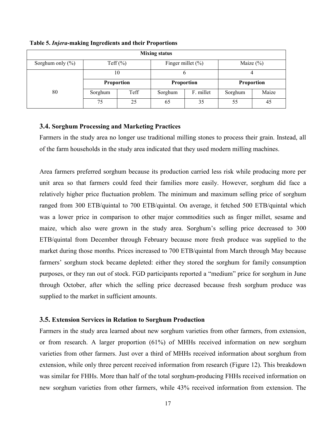| <b>Mixing status</b> |         |                   |         |                       |              |       |  |  |  |  |  |
|----------------------|---------|-------------------|---------|-----------------------|--------------|-------|--|--|--|--|--|
| Sorghum only $(\% )$ |         | Teff $(\% )$      |         | Finger millet $(\% )$ | Maize $(\%)$ |       |  |  |  |  |  |
|                      |         | 10                |         |                       |              |       |  |  |  |  |  |
|                      |         | <b>Proportion</b> |         | <b>Proportion</b>     | Proportion   |       |  |  |  |  |  |
| 80                   | Sorghum | Teff              | Sorghum | F. millet             | Sorghum      | Maize |  |  |  |  |  |
|                      | 75      | 25                | 65      | 35                    | 55           | 45    |  |  |  |  |  |

<span id="page-21-2"></span>**Table 5.** *Injera***-making Ingredients and their Proportions**

### <span id="page-21-0"></span>**3.4. Sorghum Processing and Marketing Practices**

Farmers in the study area no longer use traditional milling stones to process their grain. Instead, all of the farm households in the study area indicated that they used modern milling machines.

Area farmers preferred sorghum because its production carried less risk while producing more per unit area so that farmers could feed their families more easily. However, sorghum did face a relatively higher price fluctuation problem. The minimum and maximum selling price of sorghum ranged from 300 ETB/quintal to 700 ETB/quintal. On average, it fetched 500 ETB/quintal which was a lower price in comparison to other major commodities such as finger millet, sesame and maize, which also were grown in the study area. Sorghum's selling price decreased to 300 ETB/quintal from December through February because more fresh produce was supplied to the market during those months. Prices increased to 700 ETB/quintal from March through May because farmers' sorghum stock became depleted: either they stored the sorghum for family consumption purposes, or they ran out of stock. FGD participants reported a "medium" price for sorghum in June through October, after which the selling price decreased because fresh sorghum produce was supplied to the market in sufficient amounts.

#### <span id="page-21-1"></span>**3.5. Extension Services in Relation to Sorghum Production**

Farmers in the study area learned about new sorghum varieties from other farmers, from extension, or from research. A larger proportion (61%) of MHHs received information on new sorghum varieties from other farmers. Just over a third of MHHs received information about sorghum from extension, while only three percent received information from research (Figure 12). This breakdown was similar for FHHs. More than half of the total sorghum-producing FHHs received information on new sorghum varieties from other farmers, while 43% received information from extension. The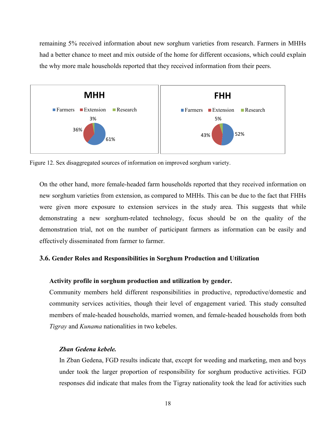remaining 5% received information about new sorghum varieties from research. Farmers in MHHs had a better chance to meet and mix outside of the home for different occasions, which could explain the why more male households reported that they received information from their peers.



<span id="page-22-1"></span>Figure 12. Sex disaggregated sources of information on improved sorghum variety.

On the other hand, more female-headed farm households reported that they received information on new sorghum varieties from extension, as compared to MHHs. This can be due to the fact that FHHs were given more exposure to extension services in the study area. This suggests that while demonstrating a new sorghum-related technology, focus should be on the quality of the demonstration trial, not on the number of participant farmers as information can be easily and effectively disseminated from farmer to farmer.

#### <span id="page-22-0"></span>**3.6. Gender Roles and Responsibilities in Sorghum Production and Utilization**

#### **Activity profile in sorghum production and utilization by gender.**

Community members held different responsibilities in productive, reproductive/domestic and community services activities, though their level of engagement varied. This study consulted members of male-headed households, married women, and female-headed households from both *Tigray* and *Kunama* nationalities in two kebeles.

#### *Zban Gedena kebele.*

In Zban Gedena, FGD results indicate that, except for weeding and marketing, men and boys under took the larger proportion of responsibility for sorghum productive activities. FGD responses did indicate that males from the Tigray nationality took the lead for activities such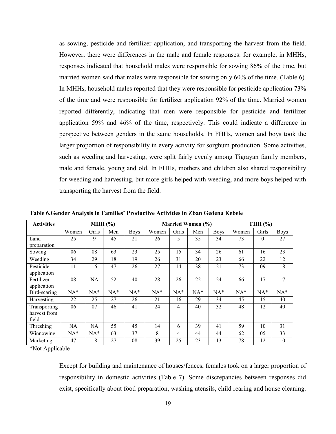as sowing, pesticide and fertilizer application, and transporting the harvest from the field. However, there were differences in the male and female responses: for example, in MHHs, responses indicated that household males were responsible for sowing 86% of the time, but married women said that males were responsible for sowing only 60% of the time. (Table 6). In MHHs, household males reported that they were responsible for pesticide application 73% of the time and were responsible for fertilizer application 92% of the time. Married women reported differently, indicating that men were responsible for pesticide and fertilizer application 59% and 46% of the time, respectively. This could indicate a difference in perspective between genders in the same households. In FHHs, women and boys took the larger proportion of responsibility in every activity for sorghum production. Some activities, such as weeding and harvesting, were split fairly evenly among Tigrayan family members, male and female, young and old. In FHHs, mothers and children also shared responsibility for weeding and harvesting, but more girls helped with weeding, and more boys helped with transporting the harvest from the field.

| <b>Activities</b> |       | MHH $(\% )$ |       |             |       |                | Married Women (%) | FHH $(\% )$ |       |          |             |
|-------------------|-------|-------------|-------|-------------|-------|----------------|-------------------|-------------|-------|----------|-------------|
|                   | Women | Girls       | Men   | <b>Boys</b> | Women | Girls          | Men               | <b>Boys</b> | Women | Girls    | <b>Boys</b> |
| Land              | 25    | 9           | 45    | 21          | 26    | 5              | 35                | 34          | 73    | $\theta$ | 27          |
| preparation       |       |             |       |             |       |                |                   |             |       |          |             |
| Sowing            | 06    | 08          | 63    | 23          | 25    | 15             | 34                | 26          | 61    | 16       | 23          |
| Weeding           | 34    | 29          | 18    | 19          | 26    | 31             | 20                | 23          | 66    | 22       | 12          |
| Pesticide         | 11    | 16          | 47    | 26          | 27    | 14             | 38                | 21          | 73    | 09       | 18          |
| application       |       |             |       |             |       |                |                   |             |       |          |             |
| Fertilizer        | 08    | <b>NA</b>   | 52    | 40          | 28    | 26             | 22                | 24          | 66    | 17       | 17          |
| application       |       |             |       |             |       |                |                   |             |       |          |             |
| Bird-scaring      | $NA*$ | $NA*$       | $NA*$ | $NA*$       | $NA*$ | $NA*$          | $NA*$             | $NA*$       | $NA*$ | $NA*$    | $NA*$       |
| Harvesting        | 22    | 25          | 27    | 26          | 21    | 16             | 29                | 34          | 45    | 15       | 40          |
| Transporting      | 06    | 07          | 46    | 41          | 24    | $\overline{4}$ | 40                | 32          | 48    | 12       | 40          |
| harvest from      |       |             |       |             |       |                |                   |             |       |          |             |
| field             |       |             |       |             |       |                |                   |             |       |          |             |
| Threshing         | NA    | <b>NA</b>   | 55    | 45          | 14    | 6              | 39                | 41          | 59    | 10       | 31          |
| Winnowing         | $NA*$ | $NA*$       | 63    | 37          | 8     | 4              | 44                | 44          | 62    | 05       | 33          |
| Marketing         | 47    | 18          | 27    | 08          | 39    | 25             | 23                | 13          | 78    | 12       | 10          |

<span id="page-23-0"></span>**Table 6.Gender Analysis in Families' Productive Activities in Zban Gedena Kebele**

\*Not Applicable

Except for building and maintenance of houses/fences, females took on a larger proportion of responsibility in domestic activities (Table 7). Some discrepancies between responses did exist, specifically about food preparation, washing utensils, child rearing and house cleaning.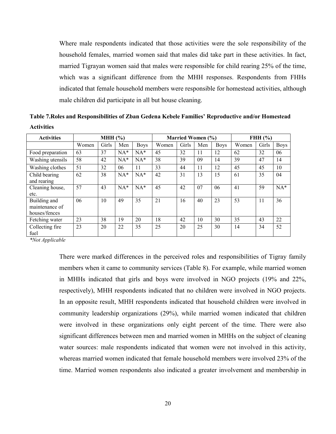Where male respondents indicated that those activities were the sole responsibility of the household females, married women said that males did take part in these activities. In fact, married Tigrayan women said that males were responsible for child rearing 25% of the time, which was a significant difference from the MHH responses. Respondents from FHHs indicated that female household members were responsible for homestead activities, although male children did participate in all but house cleaning.

<span id="page-24-0"></span>

| Table 7. Roles and Responsibilities of Zban Gedena Kebele Families' Reproductive and/or Homestead |  |
|---------------------------------------------------------------------------------------------------|--|
| <b>Activities</b>                                                                                 |  |

| <b>Activities</b>                               | MHH $(\% )$ |       |       |             |       | Married Women (%) |     |             | FHH $(\% )$ |       |             |
|-------------------------------------------------|-------------|-------|-------|-------------|-------|-------------------|-----|-------------|-------------|-------|-------------|
|                                                 | Women       | Girls | Men   | <b>Boys</b> | Women | Girls             | Men | <b>Boys</b> | Women       | Girls | <b>Boys</b> |
| Food preparation                                | 63          | 37    | $NA*$ | $NA*$       | 45    | 32                | 11  | 12          | 62          | 32    | 06          |
| Washing utensils                                | 58          | 42    | $NA*$ | $NA*$       | 38    | 39                | 09  | 14          | 39          | 47    | 14          |
| Washing clothes                                 | 51          | 32    | 06    | 11          | 33    | 44                | 11  | 12          | 45          | 45    | 10          |
| Child bearing<br>and rearing                    | 62          | 38    | $NA*$ | $NA*$       | 42    | 31                | 13  | 15          | 61          | 35    | 04          |
| Cleaning house,<br>etc.                         | 57          | 43    | $NA*$ | $NA*$       | 45    | 42                | 07  | 06          | 41          | 59    | $NA*$       |
| Building and<br>maintenance of<br>houses/fences | 06          | 10    | 49    | 35          | 21    | 16                | 40  | 23          | 53          | 11    | 36          |
| Fetching water                                  | 23          | 38    | 19    | 20          | 18    | 42                | 10  | 30          | 35          | 43    | 22          |
| Collecting fire<br>fuel                         | 23          | 20    | 22    | 35          | 25    | 20                | 25  | 30          | 14          | 34    | 52          |

*\*Not Applicable*

There were marked differences in the perceived roles and responsibilities of Tigray family members when it came to community services (Table 8). For example, while married women in MHHs indicated that girls and boys were involved in NGO projects (19% and 22%, respectively), MHH respondents indicated that no children were involved in NGO projects. In an opposite result, MHH respondents indicated that household children were involved in community leadership organizations (29%), while married women indicated that children were involved in these organizations only eight percent of the time. There were also significant differences between men and married women in MHHs on the subject of cleaning water sources: male respondents indicated that women were not involved in this activity, whereas married women indicated that female household members were involved 23% of the time. Married women respondents also indicated a greater involvement and membership in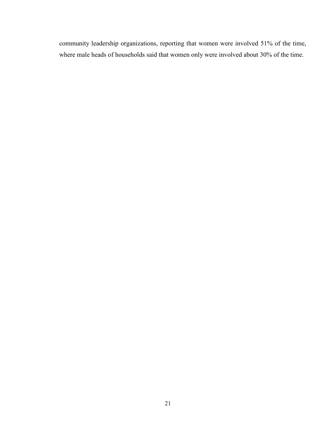community leadership organizations, reporting that women were involved 51% of the time, where male heads of households said that women only were involved about 30% of the time.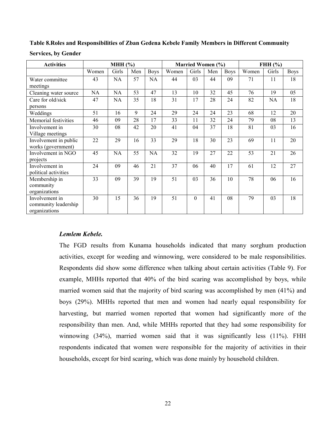### <span id="page-26-0"></span>**Table 8.Roles and Responsibilities of Zban Gedena Kebele Family Members in Different Community**

| <b>Activities</b>                                       |       | MHH $(\% )$ |     |             |       | Married Women (%) |     |             | FHH $(\% )$ |       |             |  |
|---------------------------------------------------------|-------|-------------|-----|-------------|-------|-------------------|-----|-------------|-------------|-------|-------------|--|
|                                                         | Women | Girls       | Men | <b>Boys</b> | Women | Girls             | Men | <b>Boys</b> | Women       | Girls | <b>Boys</b> |  |
| Water committee<br>meetings                             | 43    | <b>NA</b>   | 57  | NA          | 44    | 03                | 44  | 09          | 71          | 11    | 18          |  |
| Cleaning water source                                   | NA    | <b>NA</b>   | 53  | 47          | 13    | 10                | 32  | 45          | 76          | 19    | 05          |  |
| Care for old/sick<br>persons                            | 47    | NA          | 35  | 18          | 31    | 17                | 28  | 24          | 82          | NA    | 18          |  |
| Weddings                                                | 51    | 16          | 9   | 24          | 29    | 24                | 24  | 23          | 68          | 12    | 20          |  |
| Memorial festivities                                    | 46    | 09          | 28  | 17          | 33    | 11                | 32  | 24          | 79          | 08    | 13          |  |
| Involvement in<br>Village meetings                      | 30    | 08          | 42  | 20          | 41    | 04                | 37  | 18          | 81          | 03    | 16          |  |
| Involvement in public<br>works (government)             | 22    | 29          | 16  | 33          | 29    | 18                | 30  | 23          | 69          | 11    | 20          |  |
| Involvement in NGO<br>projects                          | 45    | NA          | 55  | NA          | 32    | 19                | 27  | 22          | 53          | 21    | 26          |  |
| Involvement in<br>political activities                  | 24    | 09          | 46  | 21          | 37    | 06                | 40  | 17          | 61          | 12    | 27          |  |
| Membership in<br>community<br>organizations             | 33    | 09          | 39  | 19          | 51    | 03                | 36  | 10          | 78          | 06    | 16          |  |
| Involvement in<br>community leadership<br>organizations | 30    | 15          | 36  | 19          | 51    | $\theta$          | 41  | 08          | 79          | 03    | 18          |  |

#### *Lemlem Kebele.*

The FGD results from Kunama households indicated that many sorghum production activities, except for weeding and winnowing, were considered to be male responsibilities. Respondents did show some difference when talking about certain activities (Table 9). For example, MHHs reported that 40% of the bird scaring was accomplished by boys, while married women said that the majority of bird scaring was accomplished by men (41%) and boys (29%). MHHs reported that men and women had nearly equal responsibility for harvesting, but married women reported that women had significantly more of the responsibility than men. And, while MHHs reported that they had some responsibility for winnowing (34%), married women said that it was significantly less (11%). FHH respondents indicated that women were responsible for the majority of activities in their households, except for bird scaring, which was done mainly by household children.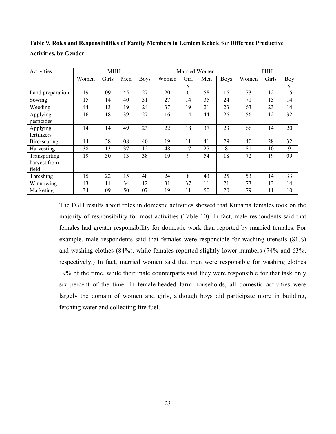| Activities                            |       | <b>MHH</b> |     |             |       |      | Married Women |             |       | <b>FHH</b> |     |
|---------------------------------------|-------|------------|-----|-------------|-------|------|---------------|-------------|-------|------------|-----|
|                                       | Women | Girls      | Men | <b>Boys</b> | Women | Girl | Men           | <b>Boys</b> | Women | Girls      | Boy |
|                                       |       |            |     |             |       | S    |               |             |       |            | S   |
| Land preparation                      | 19    | 09         | 45  | 27          | 20    | 6    | 58            | 16          | 73    | 12         | 15  |
| Sowing                                | 15    | 14         | 40  | 31          | 27    | 14   | 35            | 24          | 71    | 15         | 14  |
| Weeding                               | 44    | 13         | 19  | 24          | 37    | 19   | 21            | 23          | 63    | 23         | 14  |
| Applying<br>pesticides                | 16    | 18         | 39  | 27          | 16    | 14   | 44            | 26          | 56    | 12         | 32  |
| Applying<br>fertilizers               | 14    | 14         | 49  | 23          | 22    | 18   | 37            | 23          | 66    | 14         | 20  |
| Bird-scaring                          | 14    | 38         | 08  | 40          | 19    | 11   | 41            | 29          | 40    | 28         | 32  |
| Harvesting                            | 38    | 13         | 37  | 12          | 48    | 17   | 27            | 8           | 81    | 10         | 9   |
| Transporting<br>harvest from<br>field | 19    | 30         | 13  | 38          | 19    | 9    | 54            | 18          | 72    | 19         | 09  |
| Threshing                             | 15    | 22         | 15  | 48          | 24    | 8    | 43            | 25          | 53    | 14         | 33  |
| Winnowing                             | 43    | 11         | 34  | 12          | 31    | 37   | 11            | 21          | 73    | 13         | 14  |
| Marketing                             | 34    | 09         | 50  | 07          | 19    | 11   | 50            | 20          | 79    | 11         | 10  |

<span id="page-27-0"></span>**Table 9. Roles and Responsibilities of Family Members in Lemlem Kebele for Different Productive Activities, by Gender**

The FGD results about roles in domestic activities showed that Kunama females took on the majority of responsibility for most activities (Table 10). In fact, male respondents said that females had greater responsibility for domestic work than reported by married females. For example, male respondents said that females were responsible for washing utensils (81%) and washing clothes (84%), while females reported slightly lower numbers (74% and 63%, respectively.) In fact, married women said that men were responsible for washing clothes 19% of the time, while their male counterparts said they were responsible for that task only six percent of the time. In female-headed farm households, all domestic activities were largely the domain of women and girls, although boys did participate more in building, fetching water and collecting fire fuel.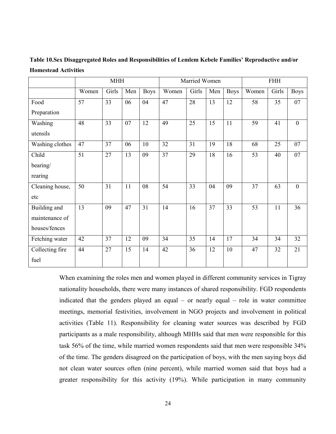|                 |       | <b>MHH</b> |     |             |                 | Married Women |     |             | <b>FHH</b> |       |                |  |
|-----------------|-------|------------|-----|-------------|-----------------|---------------|-----|-------------|------------|-------|----------------|--|
|                 | Women | Girls      | Men | <b>Boys</b> | Women           | Girls         | Men | <b>Boys</b> | Women      | Girls | <b>Boys</b>    |  |
| Food            | 57    | 33         | 06  | 04          | 47              | 28            | 13  | 12          | 58         | 35    | 07             |  |
| Preparation     |       |            |     |             |                 |               |     |             |            |       |                |  |
| Washing         | 48    | 33         | 07  | 12          | 49              | 25            | 15  | 11          | 59         | 41    | $\overline{0}$ |  |
| utensils        |       |            |     |             |                 |               |     |             |            |       |                |  |
| Washing clothes | 47    | 37         | 06  | 10          | 32              | 31            | 19  | 18          | 68         | 25    | 07             |  |
| Child           | 51    | 27         | 13  | 09          | 37              | 29            | 18  | 16          | 53         | 40    | 07             |  |
| bearing/        |       |            |     |             |                 |               |     |             |            |       |                |  |
| rearing         |       |            |     |             |                 |               |     |             |            |       |                |  |
| Cleaning house, | 50    | 31         | 11  | 08          | 54              | 33            | 04  | 09          | 37         | 63    | $\overline{0}$ |  |
| etc             |       |            |     |             |                 |               |     |             |            |       |                |  |
| Building and    | 13    | 09         | 47  | 31          | 14              | 16            | 37  | 33          | 53         | 11    | 36             |  |
| maintenance of  |       |            |     |             |                 |               |     |             |            |       |                |  |
| houses/fences   |       |            |     |             |                 |               |     |             |            |       |                |  |
| Fetching water  | 42    | 37         | 12  | 09          | 34              | 35            | 14  | 17          | 34         | 34    | 32             |  |
| Collecting fire | 44    | 27         | 15  | 14          | $\overline{42}$ | 36            | 12  | 10          | 47         | 32    | 21             |  |
| fuel            |       |            |     |             |                 |               |     |             |            |       |                |  |

<span id="page-28-0"></span>**Table 10.Sex Disaggregated Roles and Responsibilities of Lemlem Kebele Families' Reproductive and/or Homestead Activities**

When examining the roles men and women played in different community services in Tigray nationality households, there were many instances of shared responsibility. FGD respondents indicated that the genders played an equal – or nearly equal – role in water committee meetings, memorial festivities, involvement in NGO projects and involvement in political activities (Table 11). Responsibility for cleaning water sources was described by FGD participants as a male responsibility, although MHHs said that men were responsible for this task 56% of the time, while married women respondents said that men were responsible 34% of the time. The genders disagreed on the participation of boys, with the men saying boys did not clean water sources often (nine percent), while married women said that boys had a greater responsibility for this activity (19%). While participation in many community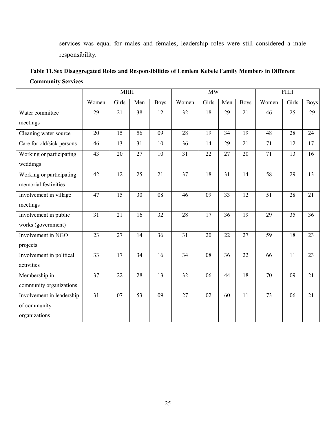services was equal for males and females, leadership roles were still considered a male responsibility.

<span id="page-29-0"></span>

| Table 11. Sex Disaggregated Roles and Responsibilities of Lemlem Kebele Family Members in Different |
|-----------------------------------------------------------------------------------------------------|
| <b>Community Services</b>                                                                           |

|                           |                 | <b>MHH</b> |                 |             |                 | MW              |                 |                 |                 | <b>FHH</b>      |                 |
|---------------------------|-----------------|------------|-----------------|-------------|-----------------|-----------------|-----------------|-----------------|-----------------|-----------------|-----------------|
|                           | Women           | Girls      | Men             | <b>Boys</b> | Women           | Girls           | Men             | <b>Boys</b>     | Women           | Girls           | <b>Boys</b>     |
| Water committee           | 29              | 21         | 38              | 12          | 32              | $\overline{18}$ | 29              | 21              | 46              | $\overline{25}$ | 29              |
| meetings                  |                 |            |                 |             |                 |                 |                 |                 |                 |                 |                 |
| Cleaning water source     | $\overline{20}$ | 15         | 56              | 09          | $\overline{28}$ | 19              | $\overline{34}$ | 19              | 48              | 28              | 24              |
| Care for old/sick persons | 46              | 13         | $\overline{31}$ | 10          | 36              | 14              | 29              | 21              | 71              | $\overline{12}$ | 17              |
| Working or participating  | 43              | 20         | 27              | 10          | 31              | 22              | 27              | 20              | 71              | 13              | 16              |
| weddings                  |                 |            |                 |             |                 |                 |                 |                 |                 |                 |                 |
| Working or participating  | 42              | 12         | 25              | 21          | $\overline{37}$ | 18              | 31              | 14              | 58              | 29              | 13              |
| memorial festivities      |                 |            |                 |             |                 |                 |                 |                 |                 |                 |                 |
| Involvement in village    | 47              | 15         | 30              | 08          | 46              | 09              | 33              | 12              | $\overline{51}$ | 28              | 21              |
| meetings                  |                 |            |                 |             |                 |                 |                 |                 |                 |                 |                 |
| Involvement in public     | 31              | 21         | 16              | 32          | 28              | 17              | 36              | 19              | 29              | 35              | 36              |
| works (government)        |                 |            |                 |             |                 |                 |                 |                 |                 |                 |                 |
| Involvement in NGO        | 23              | 27         | 14              | 36          | $\overline{31}$ | 20              | 22              | $\overline{27}$ | $\overline{59}$ | 18              | 23              |
| projects                  |                 |            |                 |             |                 |                 |                 |                 |                 |                 |                 |
| Involvement in political  | $\overline{33}$ | 17         | 34              | 16          | 34              | $\overline{08}$ | 36              | 22              | 66              | 11              | 23              |
| activities                |                 |            |                 |             |                 |                 |                 |                 |                 |                 |                 |
| Membership in             | $\overline{37}$ | 22         | 28              | 13          | $\overline{32}$ | 06              | 44              | 18              | 70              | 09              | $\overline{21}$ |
| community organizations   |                 |            |                 |             |                 |                 |                 |                 |                 |                 |                 |
| Involvement in leadership | $\overline{31}$ | 07         | $\overline{53}$ | 09          | $\overline{27}$ | $\overline{02}$ | 60              | $\overline{11}$ | $\overline{73}$ | 06              | $\overline{21}$ |
| of community              |                 |            |                 |             |                 |                 |                 |                 |                 |                 |                 |
| organizations             |                 |            |                 |             |                 |                 |                 |                 |                 |                 |                 |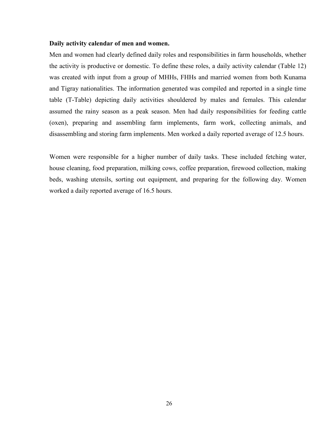#### **Daily activity calendar of men and women.**

Men and women had clearly defined daily roles and responsibilities in farm households, whether the activity is productive or domestic. To define these roles, a daily activity calendar (Table 12) was created with input from a group of MHHs, FHHs and married women from both Kunama and Tigray nationalities. The information generated was compiled and reported in a single time table (T-Table) depicting daily activities shouldered by males and females. This calendar assumed the rainy season as a peak season. Men had daily responsibilities for feeding cattle (oxen), preparing and assembling farm implements, farm work, collecting animals, and disassembling and storing farm implements. Men worked a daily reported average of 12.5 hours.

Women were responsible for a higher number of daily tasks. These included fetching water, house cleaning, food preparation, milking cows, coffee preparation, firewood collection, making beds, washing utensils, sorting out equipment, and preparing for the following day. Women worked a daily reported average of 16.5 hours.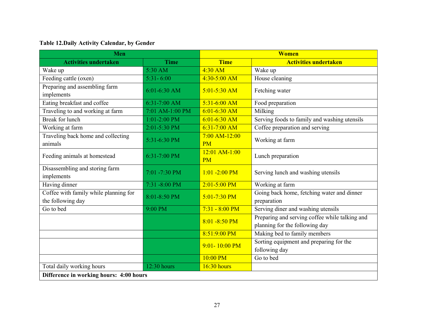## **Table 12.Daily Activity Calendar, by Gender**

<span id="page-31-0"></span>

| <b>Men</b>                                                 |                 |                              | <b>Women</b>                                                                     |
|------------------------------------------------------------|-----------------|------------------------------|----------------------------------------------------------------------------------|
| <b>Activities undertaken</b>                               | <b>Time</b>     | <b>Time</b>                  | <b>Activities undertaken</b>                                                     |
| Wake up                                                    | 5:30 AM         | $4:30$ AM                    | Wake up                                                                          |
| Feeding cattle (oxen)                                      | $5:31 - 6:00$   | $4:30-5:00$ AM               | House cleaning                                                                   |
| Preparing and assembling farm<br>implements                | 6:01-6:30 AM    | $5:01 - 5:30$ AM             | Fetching water                                                                   |
| Eating breakfast and coffee                                | 6:31-7:00 AM    | $5:31-6:00$ AM               | Food preparation                                                                 |
| Traveling to and working at farm                           | 7:01 AM-1:00 PM | $6:01-6:30$ AM               | Milking                                                                          |
| <b>Break</b> for lunch                                     | $1:01-2:00$ PM  | $6:01-6:30$ AM               | Serving foods to family and washing utensils                                     |
| Working at farm                                            | 2:01-5:30 PM    | $6:31-7:00$ AM               | Coffee preparation and serving                                                   |
| Traveling back home and collecting<br>animals              | 5:31-6:30 PM    | 7:00 AM-12:00<br><b>PM</b>   | Working at farm                                                                  |
| Feeding animals at homestead                               | 6:31-7:00 PM    | $12:01$ AM-1:00<br><b>PM</b> | Lunch preparation                                                                |
| Disassembling and storing farm<br>implements               | 7:01 -7:30 PM   | $1:01 - 2:00 \text{ PM}$     | Serving lunch and washing utensils                                               |
| Having dinner                                              | 7:31 -8:00 PM   | $2:01 - 5:00$ PM             | Working at farm                                                                  |
| Coffee with family while planning for<br>the following day | 8:01-8:50 PM    | $5:01 - 7:30$ PM             | Going back home, fetching water and dinner<br>preparation                        |
| Go to bed                                                  | 9:00 PM         | $7:31 - 8:00$ PM             | Serving diner and washing utensils                                               |
|                                                            |                 | $8:01 - 8:50$ PM             | Preparing and serving coffee while talking and<br>planning for the following day |
|                                                            |                 | 8:51:9:00 PM                 | Making bed to family members                                                     |
|                                                            |                 | $9:01 - 10:00$ PM            | Sorting equipment and preparing for the<br>following day                         |
|                                                            |                 | 10:00 PM                     | Go to bed                                                                        |
| Total daily working hours                                  | 12:30 hours     | 16:30 hours                  |                                                                                  |
| Difference in working hours: 4:00 hours                    |                 |                              |                                                                                  |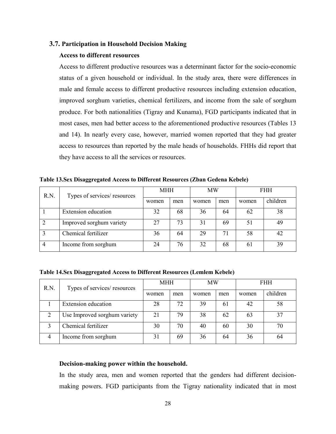#### <span id="page-32-0"></span>**3.7. Participation in Household Decision Making**

#### **Access to different resources**

Access to different productive resources was a determinant factor for the socio-economic status of a given household or individual. In the study area, there were differences in male and female access to different productive resources including extension education, improved sorghum varieties, chemical fertilizers, and income from the sale of sorghum produce. For both nationalities (Tigray and Kunama), FGD participants indicated that in most cases, men had better access to the aforementioned productive resources (Tables 13 and 14). In nearly every case, however, married women reported that they had greater access to resources than reported by the male heads of households. FHHs did report that they have access to all the services or resources.

| R.N. | Types of services/ resources | <b>MHH</b> |     | MW    |     | <b>FHH</b> |          |  |
|------|------------------------------|------------|-----|-------|-----|------------|----------|--|
|      |                              | women      | men | women | men | women      | children |  |
|      | <b>Extension</b> education   | 32         | 68  | 36    | 64  | 62         | 38       |  |
|      | Improved sorghum variety     | 27         | 73  | 31    | 69  | 51         | 49       |  |
|      | Chemical fertilizer          | 36         | 64  | 29    | 71  | 58         | 42       |  |
|      | Income from sorghum          | 24         | 76  | 32    | 68  | 61         | 39       |  |

<span id="page-32-1"></span>**Table 13.Sex Disaggregated Access to Different Resources (Zban Gedena Kebele)**

<span id="page-32-2"></span>**Table 14.Sex Disaggregated Access to Different Resources (Lemlem Kebele)**

| R.N.           | Types of services/ resources | <b>MHH</b> |     | MW    |     | <b>FHH</b> |          |  |
|----------------|------------------------------|------------|-----|-------|-----|------------|----------|--|
|                |                              | women      | men | women | men | women      | children |  |
|                | <b>Extension</b> education   | 28         | 72  | 39    | 61  | 42         | 58       |  |
| ↑              | Use Improved sorghum variety | 21         | 79  | 38    | 62  | 63         | 37       |  |
|                | Chemical fertilizer          | 30         | 70  | 40    | 60  | 30         | 70       |  |
| $\overline{4}$ | Income from sorghum          | 31         | 69  | 36    | 64  | 36         | 64       |  |

#### **Decision-making power within the household.**

In the study area, men and women reported that the genders had different decisionmaking powers. FGD participants from the Tigray nationality indicated that in most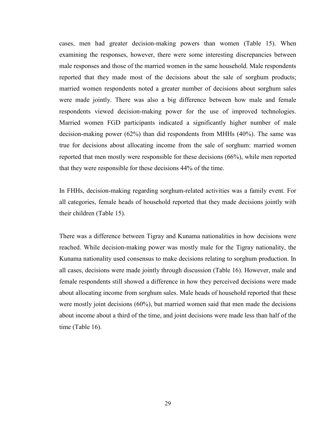cases, men had greater decision-making powers than women (Table 15). When examining the responses, however, there were some interesting discrepancies between male responses and those of the married women in the same household. Male respondents reported that they made most of the decisions about the sale of sorghum products; married women respondents noted a greater number of decisions about sorghum sales were made jointly. There was also a big difference between how male and female respondents viewed decision-making power for the use of improved technologies. Married women FGD participants indicated a significantly higher number of male decision-making power (62%) than did respondents from MHHs (40%). The same was true for decisions about allocating income from the sale of sorghum: married women reported that men mostly were responsible for these decisions (66%), while men reported that they were responsible for these decisions 44% of the time.

In FHHs, decision-making regarding sorghum-related activities was a family event. For all categories, female heads of household reported that they made decisions jointly with their children (Table 15).

There was a difference between Tigray and Kunama nationalities in how decisions were reached. While decision-making power was mostly male for the Tigray nationality, the Kunama nationality used consensus to make decisions relating to sorghum production. In all cases, decisions were made jointly through discussion (Table 16). However, male and female respondents still showed a difference in how they perceived decisions were made about allocating income from sorghum sales. Male heads of household reported that these were mostly joint decisions (60%), but married women said that men made the decisions about income about a third of the time, and joint decisions were made less than half of the time (Table 16).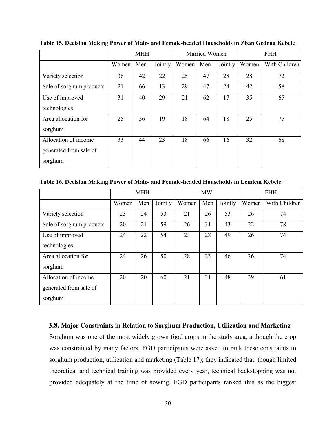|                          |       | <b>MHH</b> |         |       | Married Women |         | <b>FHH</b> |               |  |
|--------------------------|-------|------------|---------|-------|---------------|---------|------------|---------------|--|
|                          | Women | Men        | Jointly | Women | Men           | Jointly | Women      | With Children |  |
| Variety selection        | 36    | 42         | 22      | 25    | 47            | 28      | 28         | 72            |  |
| Sale of sorghum products | 21    | 66         | 13      | 29    | 47            | 24      | 42         | 58            |  |
| Use of improved          | 31    | 40         | 29      | 21    | 62            | 17      | 35         | 65            |  |
| technologies             |       |            |         |       |               |         |            |               |  |
| Area allocation for      | 25    | 56         | 19      | 18    | 64            | 18      | 25         | 75            |  |
| sorghum                  |       |            |         |       |               |         |            |               |  |
| Allocation of income     | 33    | 44         | 23      | 18    | 66            | 16      | 32         | 68            |  |
| generated from sale of   |       |            |         |       |               |         |            |               |  |
| sorghum                  |       |            |         |       |               |         |            |               |  |

<span id="page-34-1"></span>**Table 15. Decision Making Power of Male- and Female-headed Households in Zban Gedena Kebele**

<span id="page-34-2"></span>**Table 16. Decision Making Power of Male- and Female-headed Households in Lemlem Kebele**

|                          |       | <b>MHH</b> |         |       | <b>MW</b> |         |       | <b>FHH</b>    |
|--------------------------|-------|------------|---------|-------|-----------|---------|-------|---------------|
|                          | Women | Men        | Jointly | Women | Men       | Jointly | Women | With Children |
| Variety selection        | 23    | 24         | 53      | 21    | 26        | 53      | 26    | 74            |
| Sale of sorghum products | 20    | 21         | 59      | 26    | 31        | 43      | 22    | 78            |
| Use of improved          | 24    | 22         | 54      | 23    | 28        | 49      | 26    | 74            |
| technologies             |       |            |         |       |           |         |       |               |
| Area allocation for      | 24    | 26         | 50      | 28    | 23        | 46      | 26    | 74            |
| sorghum                  |       |            |         |       |           |         |       |               |
| Allocation of income     | 20    | 20         | 60      | 21    | 31        | 48      | 39    | 61            |
| generated from sale of   |       |            |         |       |           |         |       |               |
| sorghum                  |       |            |         |       |           |         |       |               |

#### <span id="page-34-0"></span>**3.8. Major Constraints in Relation to Sorghum Production, Utilization and Marketing**

Sorghum was one of the most widely grown food crops in the study area, although the crop was constrained by many factors. FGD participants were asked to rank these constraints to sorghum production, utilization and marketing (Table 17); they indicated that, though limited theoretical and technical training was provided every year, technical backstopping was not provided adequately at the time of sowing. FGD participants ranked this as the biggest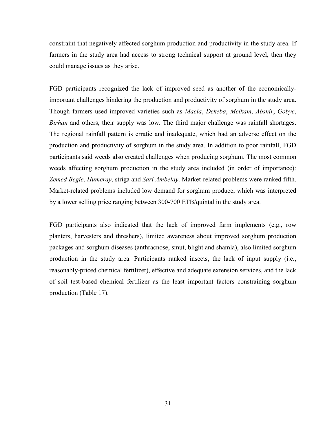constraint that negatively affected sorghum production and productivity in the study area. If farmers in the study area had access to strong technical support at ground level, then they could manage issues as they arise.

FGD participants recognized the lack of improved seed as another of the economicallyimportant challenges hindering the production and productivity of sorghum in the study area. Though farmers used improved varieties such as *Macia*, *Dekeba*, *Melkam*, *Abshir*, *Gobye*, *Birhan* and others, their supply was low. The third major challenge was rainfall shortages. The regional rainfall pattern is erratic and inadequate, which had an adverse effect on the production and productivity of sorghum in the study area. In addition to poor rainfall, FGD participants said weeds also created challenges when producing sorghum. The most common weeds affecting sorghum production in the study area included (in order of importance): *Zemed Begie*, *Humeray*, striga and *Sari Ambelay*. Market-related problems were ranked fifth. Market-related problems included low demand for sorghum produce, which was interpreted by a lower selling price ranging between 300-700 ETB/quintal in the study area.

FGD participants also indicated that the lack of improved farm implements (e.g., row planters, harvesters and threshers), limited awareness about improved sorghum production packages and sorghum diseases (anthracnose, smut, blight and shamla), also limited sorghum production in the study area. Participants ranked insects, the lack of input supply (i.e., reasonably-priced chemical fertilizer), effective and adequate extension services, and the lack of soil test-based chemical fertilizer as the least important factors constraining sorghum production (Table 17).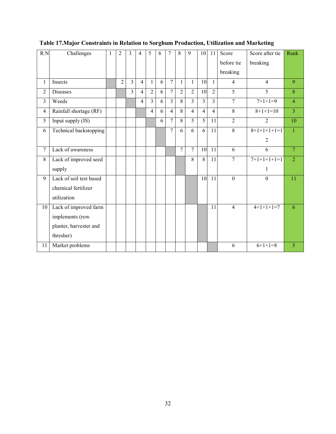| R.N            | Challenges              | $\mathbf{1}$ | $\overline{2}$ | 3              | 4              | 5              | 6 | 7              | 8              | 9              | 10             | 11             | Score          | Score after tie | Rank           |
|----------------|-------------------------|--------------|----------------|----------------|----------------|----------------|---|----------------|----------------|----------------|----------------|----------------|----------------|-----------------|----------------|
|                |                         |              |                |                |                |                |   |                |                |                |                |                | before tie     | breaking        |                |
|                |                         |              |                |                |                |                |   |                |                |                |                |                | breaking       |                 |                |
| $\mathbf{1}$   | Insects                 |              | $\overline{2}$ | $\overline{3}$ | $\overline{4}$ | $\mathbf{1}$   | 6 | $\overline{7}$ | 1              | 1              | 10             | $\mathbf{1}$   | $\overline{4}$ | $\overline{4}$  | 9              |
| $\overline{2}$ | <b>Diseases</b>         |              |                | $\overline{3}$ | $\overline{4}$ | $\overline{2}$ | 6 | 7              | $\overline{2}$ | $\overline{2}$ | 10             | $\overline{2}$ | $\overline{5}$ | 5               | $\overline{8}$ |
| 3              | Weeds                   |              |                |                | 4              | $\overline{3}$ | 6 | 3              | 8              | 3              | $\overline{3}$ | 3              | $\overline{7}$ | $7+1+1=9$       | $\overline{4}$ |
| $\overline{4}$ | Rainfall shortage (RF)  |              |                |                |                | $\overline{4}$ | 6 | $\overline{4}$ | 8              | $\overline{4}$ | $\overline{4}$ | $\overline{4}$ | 8              | $8+1+1=10$      | $\overline{3}$ |
| 5              | Input supply (IS)       |              |                |                |                |                | 6 | 7              | 8              | 5              | 5              | 11             | $\overline{2}$ | $\overline{2}$  | 10             |
| 6              | Technical backstopping  |              |                |                |                |                |   | $\overline{7}$ | 6              | 6              | 6              | 11             | 8              | $8+1+1+1+1=1$   | $\overline{1}$ |
|                |                         |              |                |                |                |                |   |                |                |                |                |                |                | 2               |                |
| $\overline{7}$ | Lack of awareness       |              |                |                |                |                |   |                | $\overline{7}$ | 7              | 10             | 11             | 6              | 6               | $\overline{7}$ |
| 8              | Lack of improved seed   |              |                |                |                |                |   |                |                | 8              | 8              | 11             | $\overline{7}$ | $7+1+1+1+1=1$   | $\overline{2}$ |
|                | supply                  |              |                |                |                |                |   |                |                |                |                |                |                | $\mathbf{1}$    |                |
| 9              | Lack of soil test based |              |                |                |                |                |   |                |                |                | 10             | 11             | $\mathbf{0}$   | $\mathbf{0}$    | 11             |
|                | chemical fertilizer     |              |                |                |                |                |   |                |                |                |                |                |                |                 |                |
|                | utilization             |              |                |                |                |                |   |                |                |                |                |                |                |                 |                |
| 10             | Lack of improved farm   |              |                |                |                |                |   |                |                |                |                | 11             | $\overline{4}$ | $4+1+1+1=7$     | 6              |
|                | implements (row         |              |                |                |                |                |   |                |                |                |                |                |                |                 |                |
|                | planter, harvester and  |              |                |                |                |                |   |                |                |                |                |                |                |                 |                |
|                | thresher)               |              |                |                |                |                |   |                |                |                |                |                |                |                 |                |
| 11             | Market problems         |              |                |                |                |                |   |                |                |                |                |                | 6              | $6+1+1=8$       | 5              |

## <span id="page-36-0"></span>**Table 17.Major Constraints in Relation to Sorghum Production, Utilization and Marketing**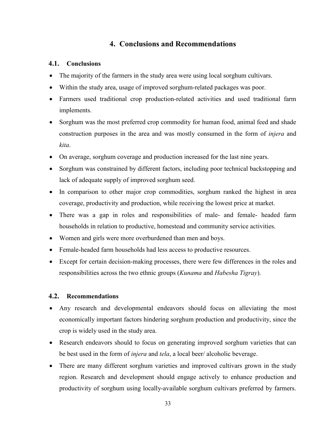## **4. Conclusions and Recommendations**

## <span id="page-37-1"></span><span id="page-37-0"></span>**4.1. Conclusions**

- The majority of the farmers in the study area were using local sorghum cultivars.
- Within the study area, usage of improved sorghum-related packages was poor.
- Farmers used traditional crop production-related activities and used traditional farm implements.
- Sorghum was the most preferred crop commodity for human food, animal feed and shade construction purposes in the area and was mostly consumed in the form of *injera* and *kita*.
- On average, sorghum coverage and production increased for the last nine years.
- Sorghum was constrained by different factors, including poor technical backstopping and lack of adequate supply of improved sorghum seed.
- In comparison to other major crop commodities, sorghum ranked the highest in area coverage, productivity and production, while receiving the lowest price at market.
- There was a gap in roles and responsibilities of male- and female- headed farm households in relation to productive, homestead and community service activities.
- Women and girls were more overburdened than men and boys.
- Female-headed farm households had less access to productive resources.
- Except for certain decision-making processes, there were few differences in the roles and responsibilities across the two ethnic groups (*Kunama* and *Habesha Tigray*).

## <span id="page-37-2"></span>**4.2. Recommendations**

- Any research and developmental endeavors should focus on alleviating the most economically important factors hindering sorghum production and productivity, since the crop is widely used in the study area.
- Research endeavors should to focus on generating improved sorghum varieties that can be best used in the form of *injera* and *tela*, a local beer/ alcoholic beverage.
- There are many different sorghum varieties and improved cultivars grown in the study region. Research and development should engage actively to enhance production and productivity of sorghum using locally-available sorghum cultivars preferred by farmers.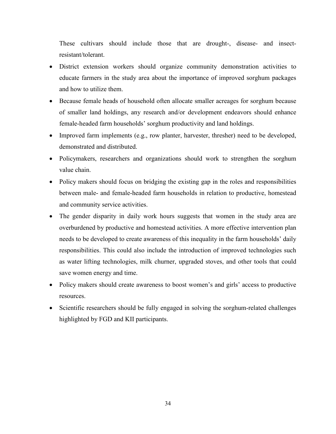These cultivars should include those that are drought-, disease- and insectresistant/tolerant.

- District extension workers should organize community demonstration activities to educate farmers in the study area about the importance of improved sorghum packages and how to utilize them.
- Because female heads of household often allocate smaller acreages for sorghum because of smaller land holdings, any research and/or development endeavors should enhance female-headed farm households' sorghum productivity and land holdings.
- Improved farm implements (e.g., row planter, harvester, thresher) need to be developed, demonstrated and distributed.
- Policymakers, researchers and organizations should work to strengthen the sorghum value chain.
- Policy makers should focus on bridging the existing gap in the roles and responsibilities between male- and female-headed farm households in relation to productive, homestead and community service activities.
- The gender disparity in daily work hours suggests that women in the study area are overburdened by productive and homestead activities. A more effective intervention plan needs to be developed to create awareness of this inequality in the farm households' daily responsibilities. This could also include the introduction of improved technologies such as water lifting technologies, milk churner, upgraded stoves, and other tools that could save women energy and time.
- Policy makers should create awareness to boost women's and girls' access to productive resources.
- Scientific researchers should be fully engaged in solving the sorghum-related challenges highlighted by FGD and KII participants.